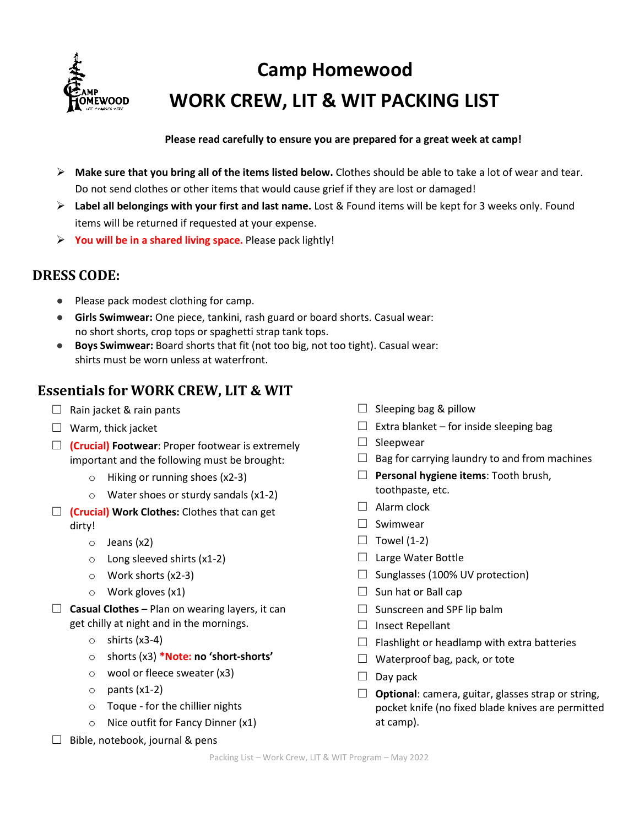

# **Camp Homewood WORK CREW, LIT & WIT PACKING LIST**

#### **Please read carefully to ensure you are prepared for a great week at camp!**

- **Make sure that you bring all of the items listed below.** Clothes should be able to take a lot of wear and tear. Do not send clothes or other items that would cause grief if they are lost or damaged!
- **Label all belongings with your first and last name.** Lost & Found items will be kept for 3 weeks only. Found items will be returned if requested at your expense.
- **You will be in a shared living space.** Please pack lightly!

### **DRESS CODE:**

- Please pack modest clothing for camp.
- **Girls Swimwear:** One piece, tankini, rash guard or board shorts. Casual wear: no short shorts, crop tops or spaghetti strap tank tops.
- **Boys Swimwear:** Board shorts that fit (not too big, not too tight). Casual wear: shirts must be worn unless at waterfront.

## **Essentials for WORK CREW, LIT & WIT**

- $\Box$  Rain jacket & rain pants
- $\Box$  Warm, thick jacket
- ☐ **(Crucial) Footwear**: Proper footwear is extremely important and the following must be brought:
	- o Hiking or running shoes (x2-3)
	- o Water shoes or sturdy sandals (x1-2)
- ☐ **(Crucial) Work Clothes:** Clothes that can get dirty!
	- o Jeans (x2)
	- o Long sleeved shirts (x1-2)
	- o Work shorts (x2-3)
	- $\circ$  Work gloves (x1)
- $\Box$  **Casual Clothes** Plan on wearing layers, it can get chilly at night and in the mornings.
	- $\circ$  shirts (x3-4)
	- o shorts (x3) **\*Note: no 'short-shorts'**
	- o wool or fleece sweater (x3)
	- $\circ$  pants (x1-2)
	- o Toque for the chillier nights
	- o Nice outfit for Fancy Dinner (x1)
- $\Box$  Bible, notebook, journal & pens
- $\Box$  Sleeping bag & pillow
- $\Box$  Extra blanket for inside sleeping bag
- □ Sleepwear
- $\Box$  Bag for carrying laundry to and from machines
- ☐ **Personal hygiene items**: Tooth brush, toothpaste, etc.
- $\Box$  Alarm clock
- ☐ Swimwear
- $\Box$  Towel (1-2)
- □ Large Water Bottle
- $\Box$  Sunglasses (100% UV protection)
- $\Box$  Sun hat or Ball cap
- $\Box$  Sunscreen and SPF lip balm
- □ Insect Repellant
- $\Box$  Flashlight or headlamp with extra batteries
- $\Box$  Waterproof bag, pack, or tote
- $\Box$  Day pack
- ☐ **Optional**: camera, guitar, glasses strap or string, pocket knife (no fixed blade knives are permitted at camp).